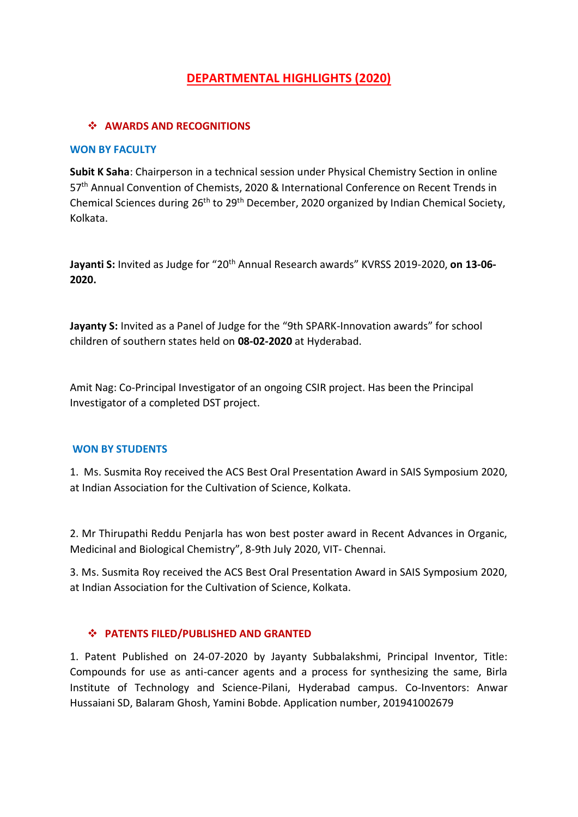# **DEPARTMENTAL HIGHLIGHTS (2020)**

## *AWARDS AND RECOGNITIONS*

#### **WON BY FACULTY**

**Subit K Saha**: Chairperson in a technical session under Physical Chemistry Section in online 57<sup>th</sup> Annual Convention of Chemists, 2020 & International Conference on Recent Trends in Chemical Sciences during 26th to 29th December, 2020 organized by Indian Chemical Society, Kolkata.

Jayanti S: Invited as Judge for "20<sup>th</sup> Annual Research awards" KVRSS 2019-2020, on 13-06-**2020.**

**Jayanty S:** Invited as a Panel of Judge for the "9th SPARK-Innovation awards" for school children of southern states held on **08-02-2020** at Hyderabad.

Amit Nag: Co-Principal Investigator of an ongoing CSIR project. Has been the Principal Investigator of a completed DST project.

## **WON BY STUDENTS**

1. Ms. Susmita Roy received the ACS Best Oral Presentation Award in SAIS Symposium 2020, at Indian Association for the Cultivation of Science, Kolkata.

2. Mr Thirupathi Reddu Penjarla has won best poster award in Recent Advances in Organic, Medicinal and Biological Chemistry", 8-9th July 2020, VIT- Chennai.

3. Ms. Susmita Roy received the ACS Best Oral Presentation Award in SAIS Symposium 2020, at Indian Association for the Cultivation of Science, Kolkata.

## **PATENTS FILED/PUBLISHED AND GRANTED**

1. Patent Published on 24-07-2020 by Jayanty Subbalakshmi, Principal Inventor, Title: Compounds for use as anti-cancer agents and a process for synthesizing the same, Birla Institute of Technology and Science-Pilani, Hyderabad campus. Co-Inventors: Anwar Hussaiani SD, Balaram Ghosh, Yamini Bobde. Application number, 201941002679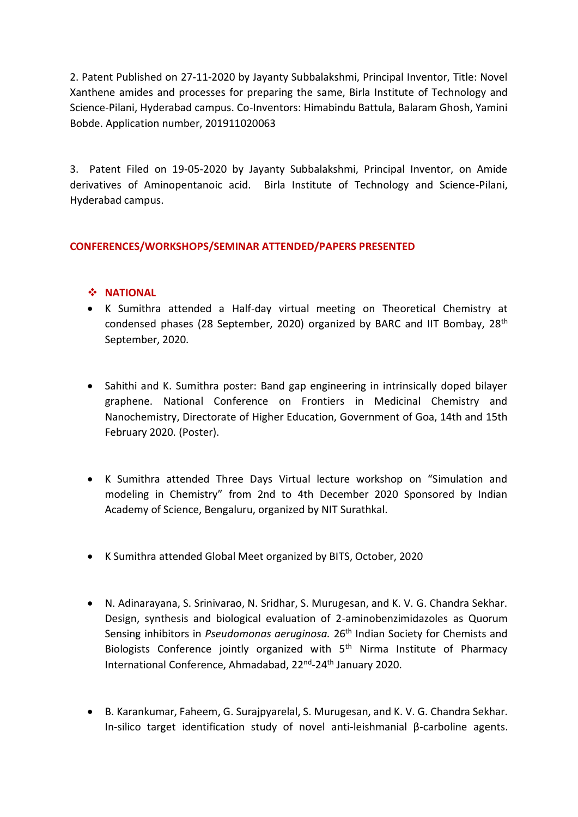2. Patent Published on 27-11-2020 by Jayanty Subbalakshmi, Principal Inventor, Title: Novel Xanthene amides and processes for preparing the same, Birla Institute of Technology and Science-Pilani, Hyderabad campus. Co-Inventors: Himabindu Battula, Balaram Ghosh, Yamini Bobde. Application number, 201911020063

3. Patent Filed on 19-05-2020 by Jayanty Subbalakshmi, Principal Inventor, on Amide derivatives of Aminopentanoic acid. Birla Institute of Technology and Science-Pilani, Hyderabad campus.

# **CONFERENCES/WORKSHOPS/SEMINAR ATTENDED/PAPERS PRESENTED**

## $\div$  **NATIONAL**

- K Sumithra attended a Half-day virtual meeting on Theoretical Chemistry at [condensed phases \(28 September, 2020\)](https://youtu.be/iomddgiiW5Y) organized by BARC and IIT Bombay, 28th September, 2020.
- Sahithi and K. Sumithra poster: Band gap engineering in intrinsically doped bilayer graphene. National Conference on Frontiers in Medicinal Chemistry and Nanochemistry, Directorate of Higher Education, Government of Goa, 14th and 15th February 2020. (Poster).
- K Sumithra attended Three Days Virtual lecture workshop on "Simulation and modeling in Chemistry" from 2nd to 4th December 2020 Sponsored by Indian Academy of Science, Bengaluru, organized by NIT Surathkal.
- K Sumithra attended Global Meet organized by BITS, October, 2020
- N. Adinarayana, S. Srinivarao, N. Sridhar, S. Murugesan, and K. V. G. Chandra Sekhar. Design, synthesis and biological evaluation of 2-aminobenzimidazoles as Quorum Sensing inhibitors in *Pseudomonas aeruginosa.* 26th Indian Society for Chemists and Biologists Conference jointly organized with  $5<sup>th</sup>$  Nirma Institute of Pharmacy International Conference, Ahmadabad, 22<sup>nd</sup>-24<sup>th</sup> January 2020.
- B. Karankumar, Faheem, G. Surajpyarelal, S. Murugesan, and K. V. G. Chandra Sekhar. In-silico target identification study of novel anti-leishmanial β-carboline agents.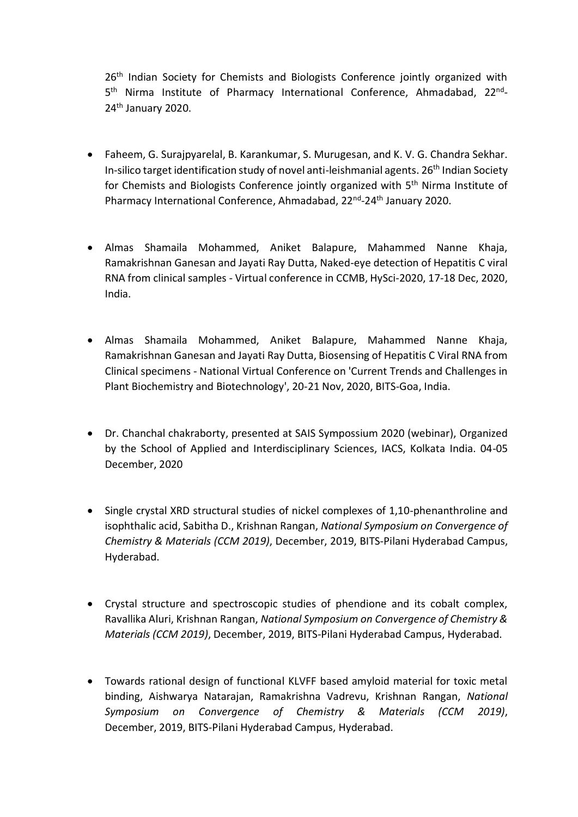26<sup>th</sup> Indian Society for Chemists and Biologists Conference jointly organized with 5<sup>th</sup> Nirma Institute of Pharmacy International Conference, Ahmadabad, 22<sup>nd</sup>-24<sup>th</sup> January 2020.

- Faheem, G. Surajpyarelal, B. Karankumar, S. Murugesan, and K. V. G. Chandra Sekhar. In-silico target identification study of novel anti-leishmanial agents. 26<sup>th</sup> Indian Society for Chemists and Biologists Conference jointly organized with 5<sup>th</sup> Nirma Institute of Pharmacy International Conference, Ahmadabad, 22<sup>nd</sup>-24<sup>th</sup> January 2020.
- Almas Shamaila Mohammed, Aniket Balapure, Mahammed Nanne Khaja, Ramakrishnan Ganesan and Jayati Ray Dutta, Naked-eye detection of Hepatitis C viral RNA from clinical samples - Virtual conference in CCMB, HySci-2020, 17-18 Dec, 2020, India.
- Almas Shamaila Mohammed, Aniket Balapure, Mahammed Nanne Khaja, Ramakrishnan Ganesan and Jayati Ray Dutta, Biosensing of Hepatitis C Viral RNA from Clinical specimens - National Virtual Conference on 'Current Trends and Challenges in Plant Biochemistry and Biotechnology', 20-21 Nov, 2020, BITS-Goa, India.
- Dr. Chanchal chakraborty, presented at SAIS Sympossium 2020 (webinar), Organized by the School of Applied and Interdisciplinary Sciences, IACS, Kolkata India. 04-05 December, 2020
- Single crystal XRD structural studies of nickel complexes of 1,10-phenanthroline and isophthalic acid, Sabitha D., Krishnan Rangan, *National Symposium on Convergence of Chemistry & Materials (CCM 2019)*, December, 2019, BITS-Pilani Hyderabad Campus, Hyderabad.
- Crystal structure and spectroscopic studies of phendione and its cobalt complex, Ravallika Aluri, Krishnan Rangan, *National Symposium on Convergence of Chemistry & Materials (CCM 2019)*, December, 2019, BITS-Pilani Hyderabad Campus, Hyderabad.
- Towards rational design of functional KLVFF based amyloid material for toxic metal binding, Aishwarya Natarajan, Ramakrishna Vadrevu, Krishnan Rangan, *National Symposium on Convergence of Chemistry & Materials (CCM 2019)*, December, 2019, BITS-Pilani Hyderabad Campus, Hyderabad.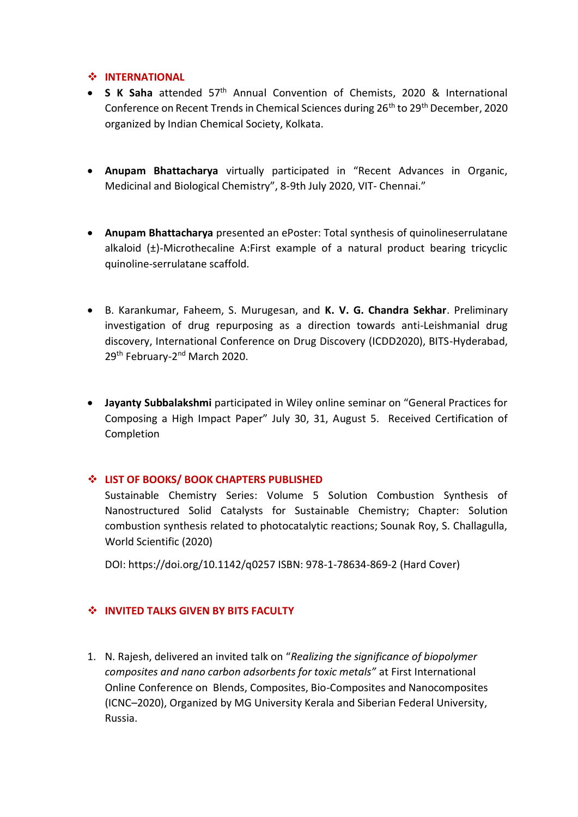## **INTERNATIONAL**

- **S K Saha** attended 57<sup>th</sup> Annual Convention of Chemists, 2020 & International Conference on Recent Trends in Chemical Sciences during 26<sup>th</sup> to 29<sup>th</sup> December, 2020 organized by Indian Chemical Society, Kolkata.
- **Anupam Bhattacharya** virtually participated in "Recent Advances in Organic, Medicinal and Biological Chemistry", 8-9th July 2020, VIT- Chennai."
- **Anupam Bhattacharya** presented an ePoster: Total synthesis of quinolineserrulatane alkaloid (±)-Microthecaline A:First example of a natural product bearing tricyclic quinoline-serrulatane scaffold.
- B. Karankumar, Faheem, S. Murugesan, and **K. V. G. Chandra Sekhar**. Preliminary investigation of drug repurposing as a direction towards anti-Leishmanial drug discovery, International Conference on Drug Discovery (ICDD2020), BITS-Hyderabad, 29<sup>th</sup> February-2<sup>nd</sup> March 2020.
- **Jayanty Subbalakshmi** participated in Wiley online seminar on "General Practices for Composing a High Impact Paper" July 30, 31, August 5. Received Certification of Completion

## **LIST OF BOOKS/ BOOK CHAPTERS PUBLISHED**

Sustainable Chemistry Series: Volume 5 Solution Combustion Synthesis of Nanostructured Solid Catalysts for Sustainable Chemistry; Chapter: Solution combustion synthesis related to photocatalytic reactions; Sounak Roy, S. Challagulla, World Scientific (2020)

DOI: https://doi.org/10.1142/q0257 ISBN: 978-1-78634-869-2 (Hard Cover)

# $\div$  INVITED TALKS GIVEN BY BITS FACULTY

1. N. Rajesh, delivered an invited talk on "*Realizing the significance of biopolymer composites and nano carbon adsorbents for toxic metals"* at First International Online Conference on Blends, Composites, Bio-Composites and Nanocomposites (ICNC–2020), Organized by MG University Kerala and Siberian Federal University, Russia.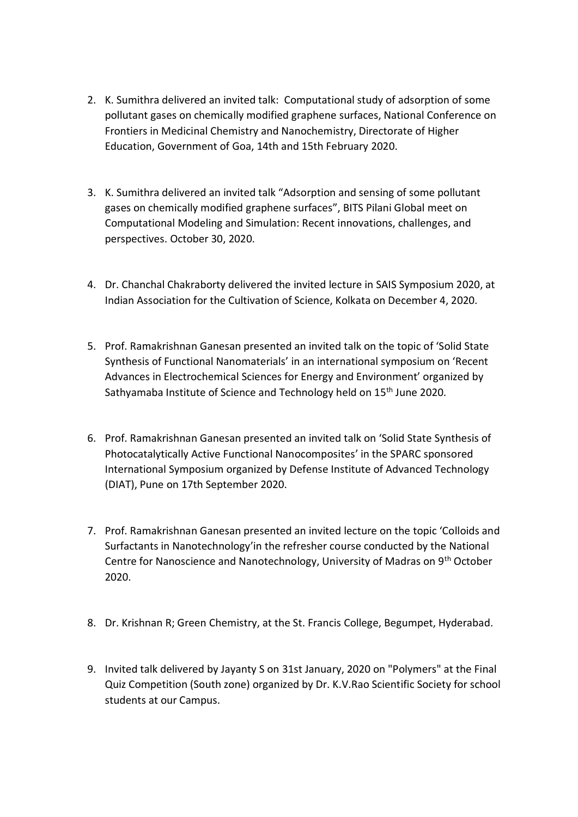- 2. K. Sumithra delivered an invited talk: Computational study of adsorption of some pollutant gases on chemically modified graphene surfaces, National Conference on Frontiers in Medicinal Chemistry and Nanochemistry, Directorate of Higher Education, Government of Goa, 14th and 15th February 2020.
- 3. K. Sumithra delivered an invited talk "Adsorption and sensing of some pollutant gases on chemically modified graphene surfaces", BITS Pilani Global meet on Computational Modeling and Simulation: Recent innovations, challenges, and perspectives. October 30, 2020.
- 4. Dr. Chanchal Chakraborty delivered the invited lecture in SAIS Symposium 2020, at Indian Association for the Cultivation of Science, Kolkata on December 4, 2020.
- 5. Prof. Ramakrishnan Ganesan presented an invited talk on the topic of 'Solid State Synthesis of Functional Nanomaterials' in an international symposium on 'Recent Advances in Electrochemical Sciences for Energy and Environment' organized by Sathyamaba Institute of Science and Technology held on 15<sup>th</sup> June 2020.
- 6. Prof. Ramakrishnan Ganesan presented an invited talk on 'Solid State Synthesis of Photocatalytically Active Functional Nanocomposites' in the SPARC sponsored International Symposium organized by Defense Institute of Advanced Technology (DIAT), Pune on 17th September 2020.
- 7. Prof. Ramakrishnan Ganesan presented an invited lecture on the topic 'Colloids and Surfactants in Nanotechnology'in the refresher course conducted by the National Centre for Nanoscience and Nanotechnology, University of Madras on 9th October 2020.
- 8. Dr. Krishnan R; Green Chemistry, at the St. Francis College, Begumpet, Hyderabad.
- 9. Invited talk delivered by Jayanty S on 31st January, 2020 on "Polymers" at the Final Quiz Competition (South zone) organized by Dr. K.V.Rao Scientific Society for school students at our Campus.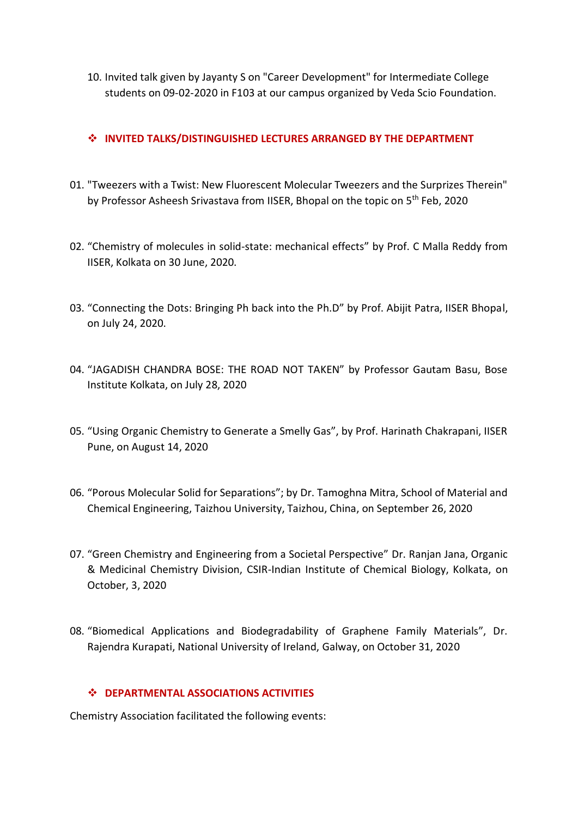10. Invited talk given by Jayanty S on "Career Development" for Intermediate College students on 09-02-2020 in F103 at our campus organized by Veda Scio Foundation.

# **INVITED TALKS/DISTINGUISHED LECTURES ARRANGED BY THE DEPARTMENT**

- 01. "Tweezers with a Twist: New Fluorescent Molecular Tweezers and the Surprizes Therein" by Professor Asheesh Srivastava from IISER, Bhopal on the topic on 5<sup>th</sup> Feb, 2020
- 02. "Chemistry of molecules in solid-state: mechanical effects" by Prof. C Malla Reddy from IISER, Kolkata on 30 June, 2020.
- 03. "Connecting the Dots: Bringing Ph back into the Ph.D" by Prof. Abijit Patra, IISER Bhopal, on July 24, 2020.
- 04. "JAGADISH CHANDRA BOSE: THE ROAD NOT TAKEN" by Professor Gautam Basu, Bose Institute Kolkata, on July 28, 2020
- 05. "Using Organic Chemistry to Generate a Smelly Gas", by Prof. Harinath Chakrapani, IISER Pune, on August 14, 2020
- 06. "Porous Molecular Solid for Separations"; by Dr. Tamoghna Mitra, School of Material and Chemical Engineering, Taizhou University, Taizhou, China, on September 26, 2020
- 07. "Green Chemistry and Engineering from a Societal Perspective" Dr. Ranjan Jana, Organic & Medicinal Chemistry Division, CSIR-Indian Institute of Chemical Biology, Kolkata, on October, 3, 2020
- 08. "Biomedical Applications and Biodegradability of Graphene Family Materials", Dr. Rajendra Kurapati, National University of Ireland, Galway, on October 31, 2020

## **DEPARTMENTAL ASSOCIATIONS ACTIVITIES**

Chemistry Association facilitated the following events: